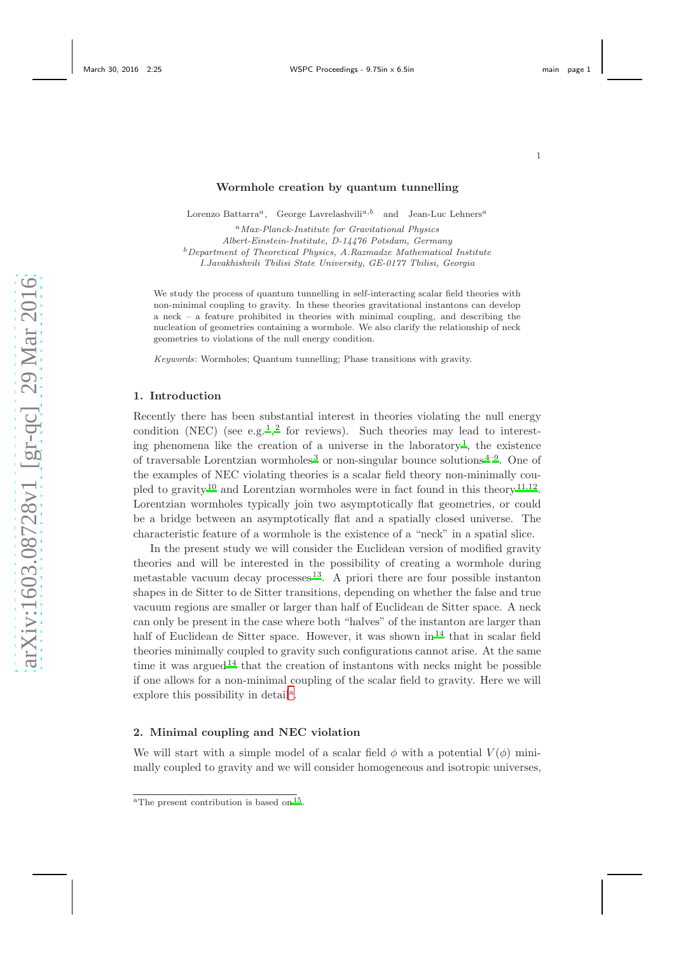## Wormhole creation by quantum tunnelling

Lorenzo Battarra<sup>a</sup>, George Lavrelashvili<sup>a,b</sup> and Jean-Luc Lehners<sup>a</sup>

<sup>a</sup>Max-Planck-Institute for Gravitational Physics Albert-Einstein-Institute, D-14476 Potsdam, Germany  $b$ Department of Theoretical Physics, A.Razmadze Mathematical Institute I.Javakhishvili Tbilisi State University, GE-0177 Tbilisi, Georgia

We study the process of quantum tunnelling in self-interacting scalar field theories with non-minimal coupling to gravity. In these theories gravitational instantons can develop a neck – a feature prohibited in theories with minimal coupling, and describing the nucleation of geometries containing a wormhole. We also clarify the relationship of neck geometries to violations of the null energy condition.

Keywords: Wormholes; Quantum tunnelling; Phase transitions with gravity.

### 1. Introduction

Recently there has been substantial interest in theories violating the null energy condition (NEC) (see e.g.<sup>[1](#page-5-0)</sup>,<sup>[2](#page-5-1)</sup> for reviews). Such theories may lead to interest-ing phenomena like the creation of a universe in the laboratory<sup>[1](#page-5-0)</sup>, the existence of traversable Lorentzian wormholes<sup>[3](#page-5-2)</sup> or non-singular bounce solutions<sup> $4-9$  $4-9$ </sup>. One of the examples of NEC violating theories is a scalar field theory non-minimally cou-pled to gravity<sup>[10](#page-5-5)</sup> and Lorentzian wormholes were in fact found in this theory<sup>[11](#page-5-6)[,12](#page-5-7)</sup>. Lorentzian wormholes typically join two asymptotically flat geometries, or could be a bridge between an asymptotically flat and a spatially closed universe. The characteristic feature of a wormhole is the existence of a "neck" in a spatial slice.

In the present study we will consider the Euclidean version of modified gravity theories and will be interested in the possibility of creating a wormhole during metastable vacuum decay processes  $13$ . A priori there are four possible instanton shapes in de Sitter to de Sitter transitions, depending on whether the false and true vacuum regions are smaller or larger than half of Euclidean de Sitter space. A neck can only be present in the case where both "halves" of the instanton are larger than half of Euclidean de Sitter space. However, it was shown in<sup>[14](#page-5-9)</sup> that in scalar field theories minimally coupled to gravity such configurations cannot arise. At the same time it was argued<sup>[14](#page-5-9)</sup> that the creation of instantons with necks might be possible if one allows for a non-minimal coupling of the scalar field to gravity. Here we will explore this possibility in det[a](#page-0-0)il<sup>a</sup>.

## 2. Minimal coupling and NEC violation

We will start with a simple model of a scalar field  $\phi$  with a potential  $V(\phi)$  minimally coupled to gravity and we will consider homogeneous and isotropic universes,

<span id="page-0-0"></span><sup>&</sup>lt;sup>a</sup>The present contribution is based on  $15$ .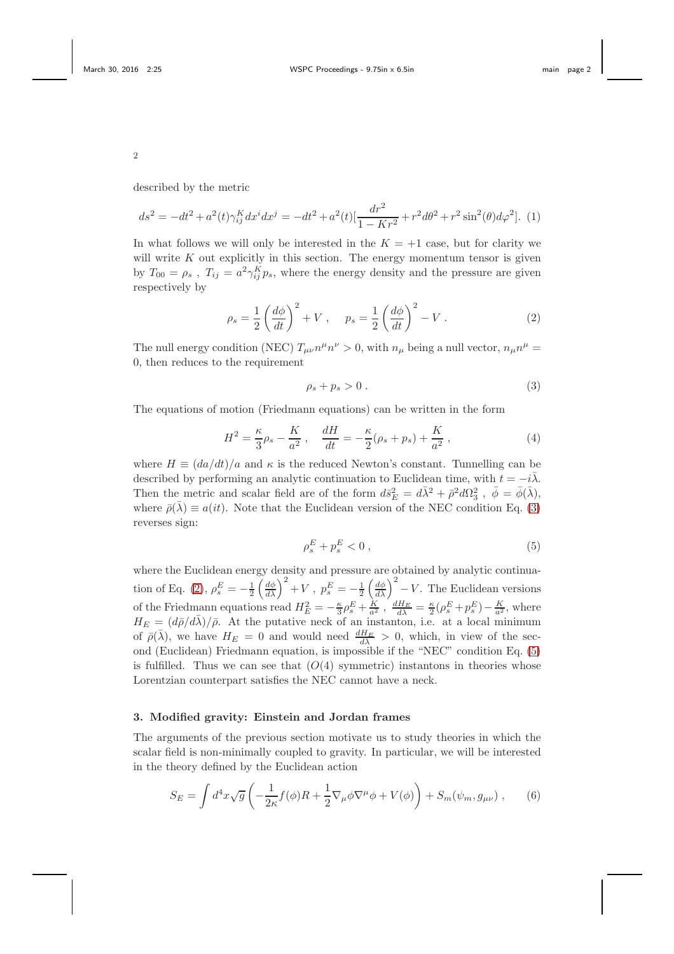described by the metric

$$
ds^{2} = -dt^{2} + a^{2}(t)\gamma_{ij}^{K}dx^{i}dx^{j} = -dt^{2} + a^{2}(t)[\frac{dr^{2}}{1 - Kr^{2}} + r^{2}d\theta^{2} + r^{2}\sin^{2}(\theta)d\varphi^{2}].
$$
 (1)

In what follows we will only be interested in the  $K = +1$  case, but for clarity we will write  $K$  out explicitly in this section. The energy momentum tensor is given by  $T_{00} = \rho_s$ ,  $T_{ij} = a^2 \gamma_{ij}^K p_s$ , where the energy density and the pressure are given respectively by

<span id="page-1-1"></span>
$$
\rho_s = \frac{1}{2} \left( \frac{d\phi}{dt} \right)^2 + V \,, \quad p_s = \frac{1}{2} \left( \frac{d\phi}{dt} \right)^2 - V \,. \tag{2}
$$

The null energy condition (NEC)  $T_{\mu\nu}n^{\mu}n^{\nu} > 0$ , with  $n_{\mu}$  being a null vector,  $n_{\mu}n^{\mu} =$ 0, then reduces to the requirement

<span id="page-1-0"></span>
$$
\rho_s + p_s > 0 \tag{3}
$$

The equations of motion (Friedmann equations) can be written in the form

$$
H^{2} = \frac{\kappa}{3}\rho_{s} - \frac{K}{a^{2}} , \quad \frac{dH}{dt} = -\frac{\kappa}{2}(\rho_{s} + p_{s}) + \frac{K}{a^{2}} , \tag{4}
$$

where  $H \equiv (da/dt)/a$  and  $\kappa$  is the reduced Newton's constant. Tunnelling can be described by performing an analytic continuation to Euclidean time, with  $t = -i\overline{\lambda}$ . Then the metric and scalar field are of the form  $d\bar{s}_E^2 = d\bar{\lambda}^2 + \bar{\rho}^2 d\Omega_3^2$ ,  $\bar{\phi} = \bar{\phi}(\bar{\lambda})$ , where  $\bar{\rho}(\bar{\lambda}) \equiv a(it)$ . Note that the Euclidean version of the NEC condition Eq. [\(3\)](#page-1-0) reverses sign:

<span id="page-1-2"></span>
$$
\rho_s^E + p_s^E < 0 \tag{5}
$$

where the Euclidean energy density and pressure are obtained by analytic continua-tion of Eq. [\(2\)](#page-1-1),  $\rho_s^E = -\frac{1}{2} \left(\frac{d\phi}{d\lambda}\right)^2 + V$ ,  $p_s^E = -\frac{1}{2} \left(\frac{d\phi}{d\lambda}\right)^2 - V$ . The Euclidean versions of the Friedmann equations read  $H_E^2 = -\frac{\kappa}{3}\rho_s^E + \frac{K}{a^2}$ ,  $\frac{dH_E}{d\lambda} = \frac{\kappa}{2}(\rho_s^E + p_s^E) - \frac{K}{a^2}$ , where  $H_E = (d\bar{\rho}/d\bar{\lambda})/\bar{\rho}$ . At the putative neck of an instanton, i.e. at a local minimum of  $\bar{\rho}(\bar{\lambda})$ , we have  $H_E = 0$  and would need  $\frac{dH_E}{d\lambda} > 0$ , which, in view of the second (Euclidean) Friedmann equation, is impossible if the "NEC" condition Eq. [\(5\)](#page-1-2) is fulfilled. Thus we can see that  $(O(4)$  symmetric) instantons in theories whose Lorentzian counterpart satisfies the NEC cannot have a neck.

### 3. Modified gravity: Einstein and Jordan frames

The arguments of the previous section motivate us to study theories in which the scalar field is non-minimally coupled to gravity. In particular, we will be interested in the theory defined by the Euclidean action

<span id="page-1-3"></span>
$$
S_E = \int d^4x \sqrt{g} \left( -\frac{1}{2\kappa} f(\phi) R + \frac{1}{2} \nabla_\mu \phi \nabla^\mu \phi + V(\phi) \right) + S_m(\psi_m, g_{\mu\nu}) ,\qquad (6)
$$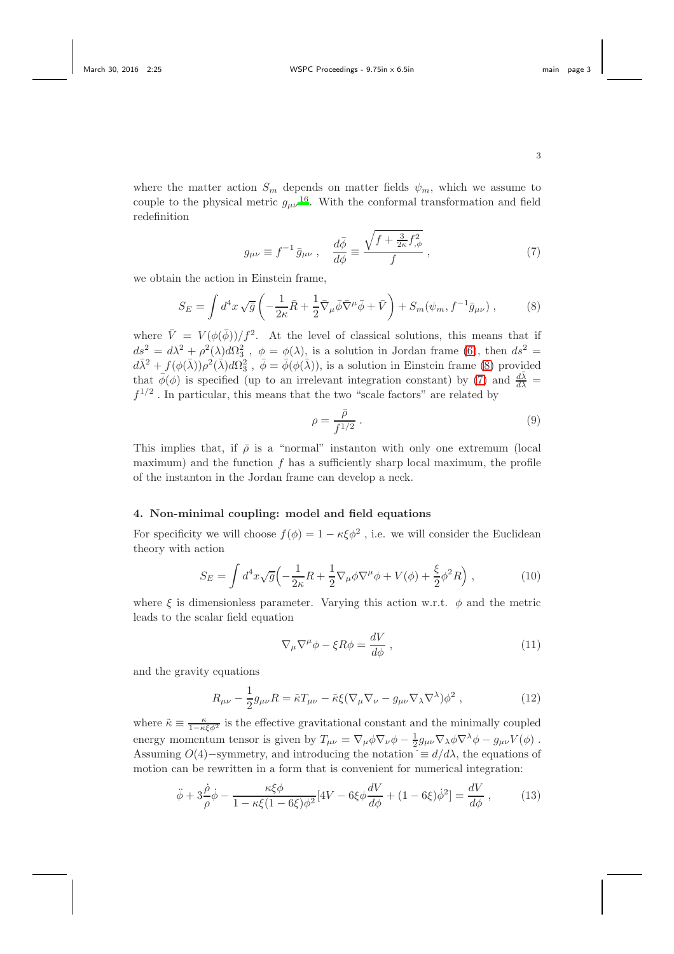where the matter action  $S_m$  depends on matter fields  $\psi_m$ , which we assume to couple to the physical metric  $g_{\mu\nu}^{16}$  $g_{\mu\nu}^{16}$  $g_{\mu\nu}^{16}$ . With the conformal transformation and field redefinition

<span id="page-2-1"></span>
$$
g_{\mu\nu} \equiv f^{-1} \bar{g}_{\mu\nu} , \quad \frac{d\bar{\phi}}{d\phi} \equiv \frac{\sqrt{f + \frac{3}{2\kappa} f_{,\phi}^2}}{f} , \tag{7}
$$

we obtain the action in Einstein frame,

<span id="page-2-0"></span>
$$
S_E = \int d^4x \sqrt{\bar{g}} \left( -\frac{1}{2\kappa} \bar{R} + \frac{1}{2} \bar{\nabla}_{\mu} \bar{\phi} \bar{\nabla}^{\mu} \bar{\phi} + \bar{V} \right) + S_m(\psi_m, f^{-1} \bar{g}_{\mu\nu}), \tag{8}
$$

where  $\bar{V} = V (\phi(\bar{\phi}))/f^2$ . At the level of classical solutions, this means that if  $ds^2 = d\lambda^2 + \rho^2(\lambda)d\Omega_3^2$ ,  $\phi = \phi(\lambda)$ , is a solution in Jordan frame [\(6\)](#page-1-3), then  $ds^2 =$  $d\bar{\lambda}^2 + f(\phi(\bar{\lambda}))\rho^2(\bar{\lambda})d\Omega_3^2$ ,  $\bar{\phi} = \bar{\phi}(\phi(\bar{\lambda}))$ , is a solution in Einstein frame [\(8\)](#page-2-0) provided that  $\bar{\phi}(\phi)$  is specified (up to an irrelevant integration constant) by [\(7\)](#page-2-1) and  $\frac{d\bar{\lambda}}{d\lambda}$  =  $f^{1/2}$ . In particular, this means that the two "scale factors" are related by

<span id="page-2-4"></span>
$$
\rho = \frac{\bar{\rho}}{f^{1/2}} \,. \tag{9}
$$

This implies that, if  $\bar{\rho}$  is a "normal" instanton with only one extremum (local maximum) and the function  $f$  has a sufficiently sharp local maximum, the profile of the instanton in the Jordan frame can develop a neck.

## 4. Non-minimal coupling: model and field equations

For specificity we will choose  $f(\phi) = 1 - \kappa \xi \phi^2$ , i.e. we will consider the Euclidean theory with action

$$
S_E = \int d^4x \sqrt{g} \left( -\frac{1}{2\kappa} R + \frac{1}{2} \nabla_\mu \phi \nabla^\mu \phi + V(\phi) + \frac{\xi}{2} \phi^2 R \right),\tag{10}
$$

where  $\xi$  is dimensionless parameter. Varying this action w.r.t.  $\phi$  and the metric leads to the scalar field equation

$$
\nabla_{\mu}\nabla^{\mu}\phi - \xi R\phi = \frac{dV}{d\phi} , \qquad (11)
$$

and the gravity equations

<span id="page-2-2"></span>
$$
R_{\mu\nu} - \frac{1}{2}g_{\mu\nu}R = \tilde{\kappa}T_{\mu\nu} - \tilde{\kappa}\xi(\nabla_{\mu}\nabla_{\nu} - g_{\mu\nu}\nabla_{\lambda}\nabla^{\lambda})\phi^2 , \qquad (12)
$$

where  $\tilde{\kappa} \equiv \frac{\kappa}{1 - \kappa \xi \phi^2}$  is the effective gravitational constant and the minimally coupled energy momentum tensor is given by  $T_{\mu\nu} = \nabla_{\mu}\phi\nabla_{\nu}\phi - \frac{1}{2}g_{\mu\nu}\nabla_{\lambda}\phi\nabla^{\lambda}\phi - g_{\mu\nu}V(\phi)$ . Assuming  $O(4)$ –symmetry, and introducing the notation  $\dot{=} d/d\lambda$ , the equations of motion can be rewritten in a form that is convenient for numerical integration:

<span id="page-2-3"></span>
$$
\ddot{\phi} + 3\frac{\dot{\rho}}{\rho}\dot{\phi} - \frac{\kappa\xi\phi}{1 - \kappa\xi(1 - 6\xi)\phi^2} [4V - 6\xi\phi \frac{dV}{d\phi} + (1 - 6\xi)\dot{\phi}^2] = \frac{dV}{d\phi},\qquad(13)
$$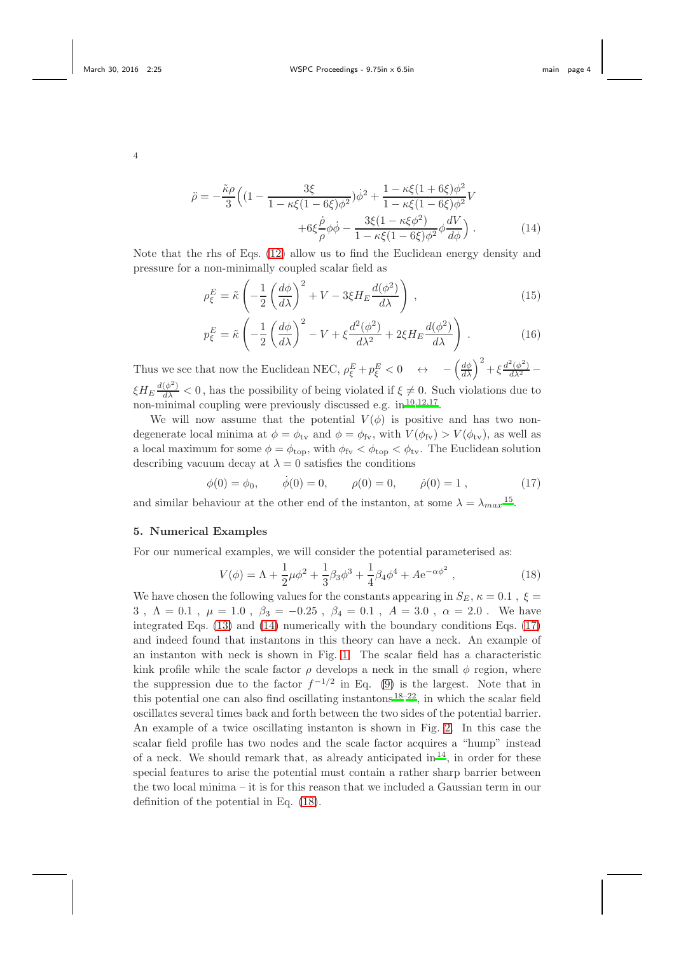<span id="page-3-0"></span>
$$
\ddot{\rho} = -\frac{\tilde{\kappa}\rho}{3} \Big( \left( 1 - \frac{3\xi}{1 - \kappa\xi(1 - 6\xi)\phi^2} \right) \dot{\phi}^2 + \frac{1 - \kappa\xi(1 + 6\xi)\phi^2}{1 - \kappa\xi(1 - 6\xi)\phi^2} V + 6\xi \frac{\dot{\rho}}{\rho} \phi \dot{\phi} - \frac{3\xi(1 - \kappa\xi\phi^2)}{1 - \kappa\xi(1 - 6\xi)\phi^2} \phi \frac{dV}{d\phi} \Big) .
$$
(14)

Note that the rhs of Eqs. [\(12\)](#page-2-2) allow us to find the Euclidean energy density and pressure for a non-minimally coupled scalar field as

$$
\rho_{\xi}^{E} = \tilde{\kappa} \left( -\frac{1}{2} \left( \frac{d\phi}{d\lambda} \right)^{2} + V - 3\xi H_{E} \frac{d(\phi^{2})}{d\lambda} \right) , \qquad (15)
$$

$$
p_{\xi}^{E} = \tilde{\kappa} \left( -\frac{1}{2} \left( \frac{d\phi}{d\lambda} \right)^{2} - V + \xi \frac{d^{2}(\phi^{2})}{d\lambda^{2}} + 2\xi H_{E} \frac{d(\phi^{2})}{d\lambda} \right) . \tag{16}
$$

Thus we see that now the Euclidean NEC,  $\rho_{\xi}^{E} + p_{\xi}^{E} < 0 \quad \leftrightarrow \quad -\left(\frac{d\phi}{d\lambda}\right)^{2} + \xi \frac{d^{2}(\phi^{2})}{d\lambda^{2}} \xi H_E \frac{d(\phi^2)}{d\lambda} < 0$ , has the possibility of being violated if  $\xi \neq 0$ . Such violations due to non-minimal coupling were previously discussed e.g. in <sup>[10](#page-5-5)[,12](#page-5-7)[,17](#page-5-11)</sup>.

We will now assume that the potential  $V(\phi)$  is positive and has two nondegenerate local minima at  $\phi = \phi_{\text{tv}}$  and  $\phi = \phi_{\text{fv}}$ , with  $V(\phi_{\text{fv}}) > V(\phi_{\text{tv}})$ , as well as a local maximum for some  $\phi = \phi_{\text{top}}$ , with  $\phi_{\text{fv}} < \phi_{\text{top}} < \phi_{\text{tv}}$ . The Euclidean solution describing vacuum decay at  $\lambda = 0$  satisfies the conditions

<span id="page-3-1"></span>
$$
\phi(0) = \phi_0,
$$
  $\dot{\phi}(0) = 0,$   $\rho(0) = 0,$   $\dot{\rho}(0) = 1,$  (17)

and similar behaviour at the other end of the instanton, at some  $\lambda = \lambda_{max}^{15}$  $\lambda = \lambda_{max}^{15}$  $\lambda = \lambda_{max}^{15}$ .

### 5. Numerical Examples

For our numerical examples, we will consider the potential parameterised as:

<span id="page-3-2"></span>
$$
V(\phi) = \Lambda + \frac{1}{2}\mu\phi^2 + \frac{1}{3}\beta_3\phi^3 + \frac{1}{4}\beta_4\phi^4 + A e^{-\alpha\phi^2},
$$
\n(18)

We have chosen the following values for the constants appearing in  $S_E$ ,  $\kappa = 0.1$ ,  $\xi =$ 3,  $\Lambda = 0.1$ ,  $\mu = 1.0$ ,  $\beta_3 = -0.25$ ,  $\beta_4 = 0.1$ ,  $A = 3.0$ ,  $\alpha = 2.0$ . We have integrated Eqs. [\(13\)](#page-2-3) and [\(14\)](#page-3-0) numerically with the boundary conditions Eqs. [\(17\)](#page-3-1) and indeed found that instantons in this theory can have a neck. An example of an instanton with neck is shown in Fig. [1.](#page-4-0) The scalar field has a characteristic kink profile while the scale factor  $\rho$  develops a neck in the small  $\phi$  region, where the suppression due to the factor  $f^{-1/2}$  in Eq. [\(9\)](#page-2-4) is the largest. Note that in this potential one can also find oscillating instantons  $18-22$  $18-22$ , in which the scalar field oscillates several times back and forth between the two sides of the potential barrier. An example of a twice oscillating instanton is shown in Fig. [2.](#page-4-1) In this case the scalar field profile has two nodes and the scale factor acquires a "hump" instead of a neck. We should remark that, as already anticipated in  $^{14}$  $^{14}$  $^{14}$ , in order for these special features to arise the potential must contain a rather sharp barrier between the two local minima – it is for this reason that we included a Gaussian term in our definition of the potential in Eq. [\(18\)](#page-3-2).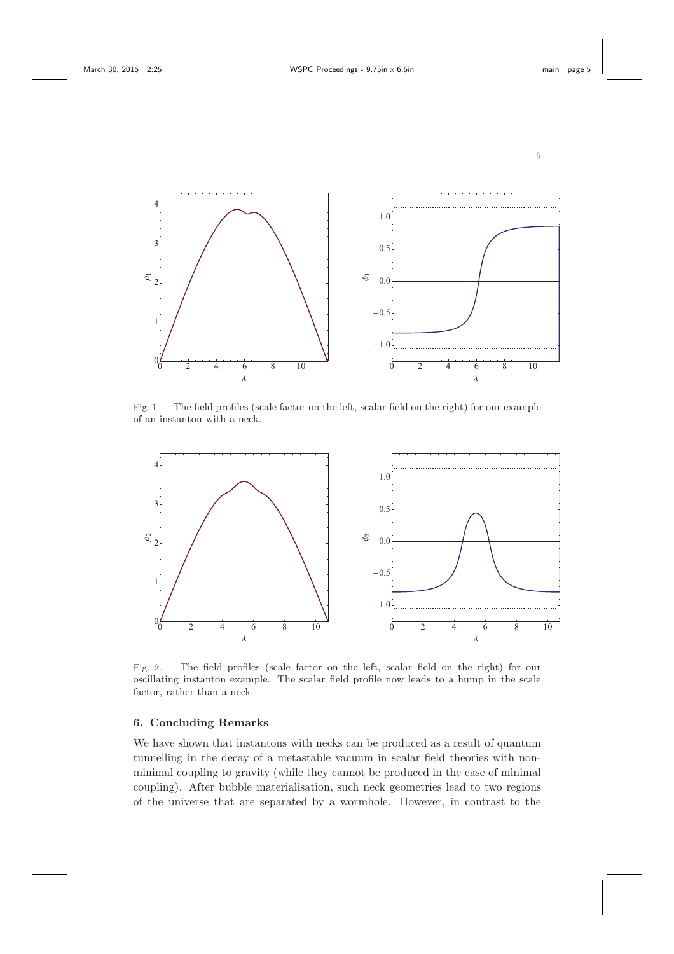

<span id="page-4-0"></span>Fig. 1. The field profiles (scale factor on the left, scalar field on the right) for our example of an instanton with a neck.



<span id="page-4-1"></span>Fig. 2. The field profiles (scale factor on the left, scalar field on the right) for our oscillating instanton example. The scalar field profile now leads to a hump in the scale factor, rather than a neck.

# 6. Concluding Remarks

We have shown that instantons with necks can be produced as a result of quantum tunnelling in the decay of a metastable vacuum in scalar field theories with nonminimal coupling to gravity (while they cannot be produced in the case of minimal coupling). After bubble materialisation, such neck geometries lead to two regions of the universe that are separated by a wormhole. However, in contrast to the